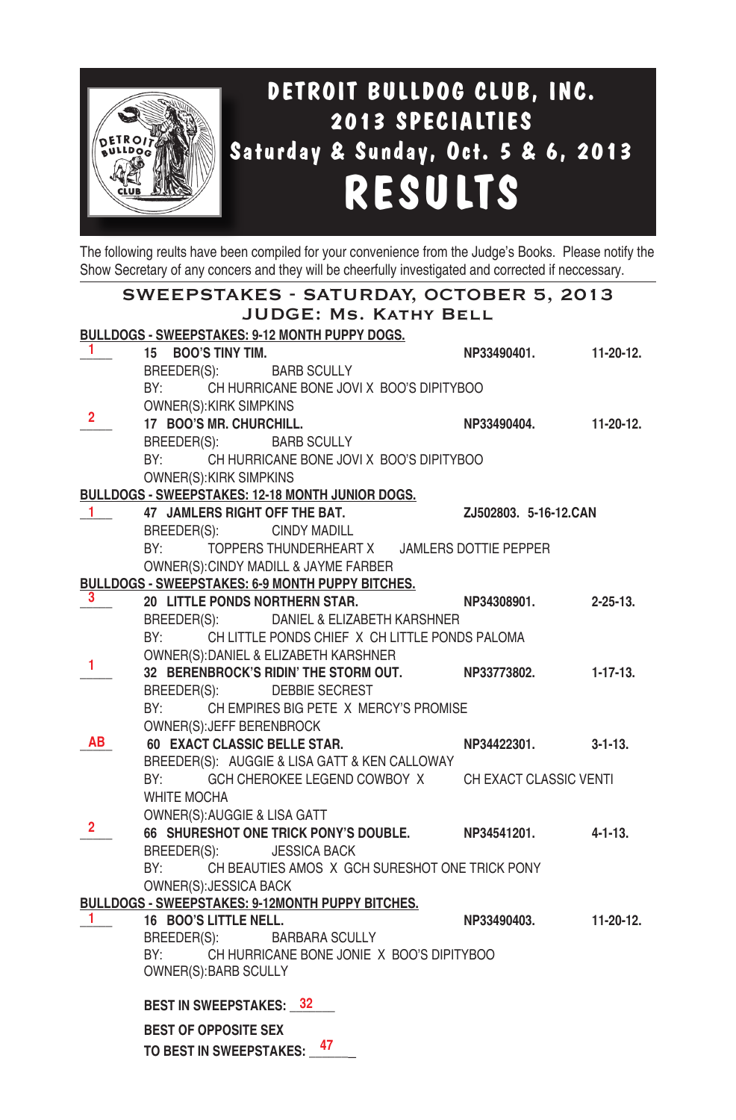

The following reults have been compiled for your convenience from the Judge's Books. Please notify the Show Secretary of any concers and they will be cheerfully investigated and corrected if neccessary.

| SWEEPSTAKES - SATURDAY, OCTOBER 5, 2013                 |                                                                                           |                        |                 |  |  |  |
|---------------------------------------------------------|-------------------------------------------------------------------------------------------|------------------------|-----------------|--|--|--|
|                                                         | JUDGE: MS. KATHY BELL                                                                     |                        |                 |  |  |  |
|                                                         | <b>BULLDOGS - SWEEPSTAKES: 9-12 MONTH PUPPY DOGS.</b>                                     |                        |                 |  |  |  |
| 1                                                       | 15 BOO'S TINY TIM.                                                                        | NP33490401.            | $11-20-12.$     |  |  |  |
|                                                         | BREEDER(S): BARB SCULLY                                                                   |                        |                 |  |  |  |
|                                                         | BY: CH HURRICANE BONE JOVI X BOO'S DIPITYBOO                                              |                        |                 |  |  |  |
| 2.                                                      | OWNER(S): KIRK SIMPKINS                                                                   |                        |                 |  |  |  |
|                                                         | 17 BOO'S MR. CHURCHILL.                                                                   | NP33490404.            | $11-20-12.$     |  |  |  |
|                                                         | BREEDER(S): BARB SCULLY                                                                   |                        |                 |  |  |  |
|                                                         | BY:<br>CH HURRICANE BONE JOVI X BOO'S DIPITYBOO                                           |                        |                 |  |  |  |
|                                                         | OWNER(S): KIRK SIMPKINS                                                                   |                        |                 |  |  |  |
|                                                         | BULLDOGS - SWEEPSTAKES: 12-18 MONTH JUNIOR DOGS.                                          |                        |                 |  |  |  |
| $1 -$                                                   | 47 JAMLERS RIGHT OFF THE BAT.                                                             | ZJ502803. 5-16-12.CAN  |                 |  |  |  |
|                                                         | BREEDER(S):<br>CINDY MADILL                                                               |                        |                 |  |  |  |
|                                                         | TOPPERS THUNDERHEART X JAMLERS DOTTIE PEPPER<br>BY:                                       |                        |                 |  |  |  |
|                                                         | OWNER(S): CINDY MADILL & JAYME FARBER<br>BULLDOGS - SWEEPSTAKES: 6-9 MONTH PUPPY BITCHES. |                        |                 |  |  |  |
| 3.                                                      | 20 LITTLE PONDS NORTHERN STAR.                                                            | NP34308901.            | $2 - 25 - 13$ . |  |  |  |
|                                                         | BREEDER(S): DANIEL & ELIZABETH KARSHNER                                                   |                        |                 |  |  |  |
|                                                         | BY: CH LITTLE PONDS CHIEF X CH LITTLE PONDS PALOMA                                        |                        |                 |  |  |  |
|                                                         | OWNER(S): DANIEL & ELIZABETH KARSHNER                                                     |                        |                 |  |  |  |
| 1                                                       | 32 BERENBROCK'S RIDIN' THE STORM OUT.                                                     | NP33773802.            | $1 - 17 - 13$ . |  |  |  |
|                                                         | BREEDER(S): DEBBIE SECREST                                                                |                        |                 |  |  |  |
|                                                         | BY:<br>CH EMPIRES BIG PETE X MERCY'S PROMISE                                              |                        |                 |  |  |  |
|                                                         | OWNER(S): JEFF BERENBROCK                                                                 |                        |                 |  |  |  |
| AB                                                      | 60 EXACT CLASSIC BELLE STAR.                                                              | NP34422301.            | $3 - 1 - 13$ .  |  |  |  |
|                                                         | BREEDER(S): AUGGIE & LISA GATT & KEN CALLOWAY                                             |                        |                 |  |  |  |
|                                                         | GCH CHEROKEE LEGEND COWBOY X<br>BY:                                                       | CH EXACT CLASSIC VENTI |                 |  |  |  |
|                                                         | <b>WHITE MOCHA</b>                                                                        |                        |                 |  |  |  |
|                                                         | OWNER(S): AUGGIE & LISA GATT                                                              |                        |                 |  |  |  |
| 2.                                                      | 66 SHURESHOT ONE TRICK PONY'S DOUBLE.                                                     | NP34541201.            | $4 - 1 - 13$ .  |  |  |  |
|                                                         | BREEDER(S):<br><b>JESSICA BACK</b>                                                        |                        |                 |  |  |  |
|                                                         | BY: CH BEAUTIES AMOS X GCH SURESHOT ONE TRICK PONY                                        |                        |                 |  |  |  |
|                                                         | OWNER(S): JESSICA BACK                                                                    |                        |                 |  |  |  |
| <b>BULLDOGS - SWEEPSTAKES: 9-12MONTH PUPPY BITCHES.</b> |                                                                                           |                        |                 |  |  |  |
| 1.                                                      | 16 BOO'S LITTLE NELL.<br><b>BARBARA SCULLY</b>                                            | NP33490403.            | 11-20-12.       |  |  |  |
|                                                         | BREEDER(S):<br>BY: CH HURRICANE BONE JONIE X BOO'S DIPITYBOO                              |                        |                 |  |  |  |
|                                                         | OWNER(S): BARB SCULLY                                                                     |                        |                 |  |  |  |
|                                                         |                                                                                           |                        |                 |  |  |  |
|                                                         | <b>BEST IN SWEEPSTAKES: 32</b>                                                            |                        |                 |  |  |  |
|                                                         | <b>BEST OF OPPOSITE SEX</b>                                                               |                        |                 |  |  |  |
|                                                         | TO BEST IN SWEEPSTAKES: 47                                                                |                        |                 |  |  |  |
|                                                         |                                                                                           |                        |                 |  |  |  |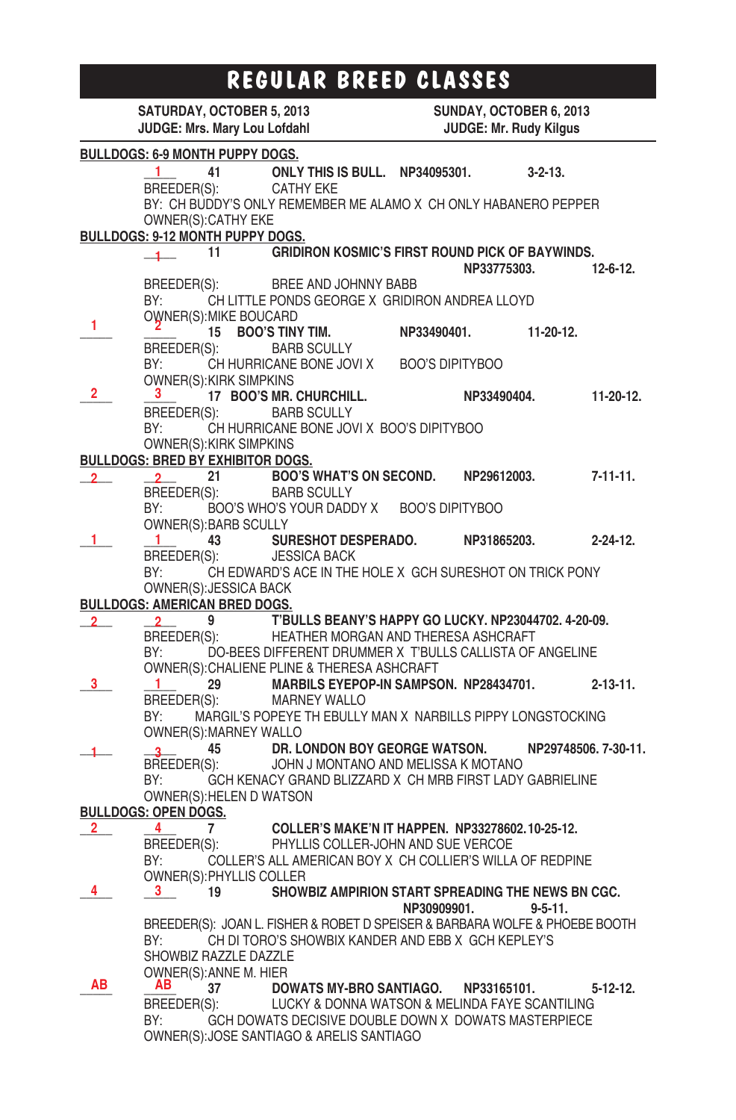# **REGULAR BREED CLASSES**

|              | SATURDAY, OCTOBER 5, 2013                                                                                      |    |                                                                                                             | SUNDAY, OCTOBER 6, 2013 |             |                      |                 |
|--------------|----------------------------------------------------------------------------------------------------------------|----|-------------------------------------------------------------------------------------------------------------|-------------------------|-------------|----------------------|-----------------|
|              | JUDGE: Mrs. Mary Lou Lofdahl                                                                                   |    |                                                                                                             | JUDGE: Mr. Rudy Kilgus  |             |                      |                 |
|              | <b>BULLDOGS: 6-9 MONTH PUPPY DOGS.</b>                                                                         |    |                                                                                                             |                         |             |                      |                 |
|              |                                                                                                                |    |                                                                                                             |                         |             | $3 - 2 - 13$ .       |                 |
|              |                                                                                                                |    | $\frac{1}{\text{BREEDER(S)}}$ 41 ONLY THIS IS BULL. NP34095301.                                             |                         |             |                      |                 |
|              |                                                                                                                |    | BY: CH BUDDY'S ONLY REMEMBER ME ALAMO X CH ONLY HABANERO PEPPER                                             |                         |             |                      |                 |
|              | OWNER(S): CATHY EKE                                                                                            |    |                                                                                                             |                         |             |                      |                 |
|              | BULLDOGS: 9-12 MONTH PUPPY DOGS.                                                                               |    |                                                                                                             |                         |             |                      |                 |
|              | $\frac{1}{1}$ 11                                                                                               |    | <b>GRIDIRON KOSMIC'S FIRST ROUND PICK OF BAYWINDS.</b>                                                      |                         |             |                      |                 |
|              |                                                                                                                |    |                                                                                                             |                         | NP33775303. |                      | 12-6-12.        |
|              |                                                                                                                |    | BREEDER(S): BREE AND JOHNNY BABB                                                                            |                         |             |                      |                 |
|              | BY: and the set of the set of the set of the set of the set of the set of the set of the set of the set of the |    | CH LITTLE PONDS GEORGE X GRIDIRON ANDREA LLOYD                                                              |                         |             |                      |                 |
|              | OWNER(S): MIKE BOUCARD                                                                                         |    |                                                                                                             |                         |             |                      |                 |
| 1            |                                                                                                                |    | 15 BOO'S TINY TIM.                                                                                          | NP33490401.             |             | $11-20-12.$          |                 |
|              | BREEDER(S):                                                                                                    |    | <b>BARB SCULLY</b>                                                                                          |                         |             |                      |                 |
|              |                                                                                                                |    | BY: CH HURRICANE BONE JOVI X                                                                                | <b>BOO'S DIPITYBOO</b>  |             |                      |                 |
|              | OWNER(S): KIRK SIMPKINS                                                                                        |    |                                                                                                             |                         |             |                      |                 |
| 2            | $3^{\circ}$                                                                                                    |    | 17 BOO'S MR. CHURCHILL.                                                                                     |                         | NP33490404. |                      | $11-20-12.$     |
|              |                                                                                                                |    | BREEDER(S): BARB SCULLY                                                                                     |                         |             |                      |                 |
|              |                                                                                                                |    | BY: CH HURRICANE BONE JOVI X BOO'S DIPITYBOO                                                                |                         |             |                      |                 |
|              | OWNER(S): KIRK SIMPKINS                                                                                        |    |                                                                                                             |                         |             |                      |                 |
|              | <b>BULLDOGS: BRED BY EXHIBITOR DOGS.</b>                                                                       |    |                                                                                                             |                         |             |                      |                 |
| $2 -$        | $\overline{2}$                                                                                                 |    | <b>BOO'S WHAT'S ON SECOND.</b>                                                                              |                         | NP29612003. |                      | $7 - 11 - 11$ . |
|              |                                                                                                                |    | BREEDER(S): BARB SCULLY                                                                                     |                         |             |                      |                 |
|              |                                                                                                                |    | BY: BOO'S WHO'S YOUR DADDY X BOO'S DIPITYBOO                                                                |                         |             |                      |                 |
|              | OWNER(S): BARB SCULLY                                                                                          |    |                                                                                                             |                         |             |                      |                 |
|              | $\blacksquare$                                                                                                 | 43 | <b>SURESHOT DESPERADO.</b>                                                                                  |                         | NP31865203. |                      | $2 - 24 - 12$ . |
|              |                                                                                                                |    | BREEDER(S): JESSICA BACK                                                                                    |                         |             |                      |                 |
|              | BY:                                                                                                            |    | CH EDWARD'S ACE IN THE HOLE X GCH SURESHOT ON TRICK PONY                                                    |                         |             |                      |                 |
|              | OWNER(S): JESSICA BACK                                                                                         |    |                                                                                                             |                         |             |                      |                 |
|              | <b>BULLDOGS: AMERICAN BRED DOGS.</b>                                                                           |    |                                                                                                             |                         |             |                      |                 |
| $\mathbf{2}$ |                                                                                                                |    |                                                                                                             |                         |             |                      |                 |
|              |                                                                                                                |    | 2 9 T'BULLS BEANY'S HAPPY GO LUCKY. NP23044702. 4-20-09.<br>BREEDER(S): HEATHER MORGAN AND THERESA ASHCRAFT |                         |             |                      |                 |
|              | BY:                                                                                                            |    | DO-BEES DIFFERENT DRUMMER X T'BULLS CALLISTA OF ANGELINE                                                    |                         |             |                      |                 |
|              |                                                                                                                |    | OWNER(S): CHALIENE PLINE & THERESA ASHCRAFT                                                                 |                         |             |                      |                 |
| 3.           | -1                                                                                                             |    | 29 MARBILS EYEPOP-IN SAMPSON. NP28434701.                                                                   |                         |             |                      | $2 - 13 - 11$ . |
|              |                                                                                                                |    | BREEDER(S): MARNEY WALLO                                                                                    |                         |             |                      |                 |
|              | BY:                                                                                                            |    | MARGIL'S POPEYE TH EBULLY MAN X NARBILLS PIPPY LONGSTOCKING                                                 |                         |             |                      |                 |
|              | OWNER(S): MARNEY WALLO                                                                                         |    |                                                                                                             |                         |             |                      |                 |
|              |                                                                                                                |    |                                                                                                             |                         |             | NP29748506. 7-30-11. |                 |
|              |                                                                                                                |    | 3 45 DR. LONDON BOY GEORGE WATSON.<br>BREEDER(S): JOHN J MONTANO AND MELISSA K MOTANO                       |                         |             |                      |                 |
|              | BY:                                                                                                            |    | GCH KENACY GRAND BLIZZARD X CH MRB FIRST LADY GABRIELINE                                                    |                         |             |                      |                 |
|              | OWNER(S): HELEN D WATSON                                                                                       |    |                                                                                                             |                         |             |                      |                 |
|              | <b>BULLDOGS: OPEN DOGS.</b>                                                                                    |    |                                                                                                             |                         |             |                      |                 |
| $2^{\circ}$  | 4 7                                                                                                            |    | COLLER'S MAKE'N IT HAPPEN. NP33278602.10-25-12.                                                             |                         |             |                      |                 |
|              | BREEDER(S):                                                                                                    |    | PHYLLIS COLLER-JOHN AND SUE VERCOE                                                                          |                         |             |                      |                 |
|              | BY:                                                                                                            |    | COLLER'S ALL AMERICAN BOY X CH COLLIER'S WILLA OF REDPINE                                                   |                         |             |                      |                 |
|              | OWNER(S): PHYLLIS COLLER                                                                                       |    |                                                                                                             |                         |             |                      |                 |
| 4            | 3                                                                                                              | 19 | SHOWBIZ AMPIRION START SPREADING THE NEWS BN CGC.                                                           |                         |             |                      |                 |
|              |                                                                                                                |    |                                                                                                             | NP30909901.             |             | $9 - 5 - 11.$        |                 |
|              |                                                                                                                |    | BREEDER(S): JOAN L. FISHER & ROBET D SPEISER & BARBARA WOLFE & PHOEBE BOOTH                                 |                         |             |                      |                 |
|              | BY:                                                                                                            |    | CH DI TORO'S SHOWBIX KANDER AND EBB X GCH KEPLEY'S                                                          |                         |             |                      |                 |
|              | SHOWBIZ RAZZLE DAZZLE                                                                                          |    |                                                                                                             |                         |             |                      |                 |
|              | OWNER(S): ANNE M. HIER                                                                                         |    |                                                                                                             |                         |             |                      |                 |
| AВ           | AB.                                                                                                            | 37 | <b>DOWATS MY-BRO SANTIAGO.</b>                                                                              |                         | NP33165101. |                      | $5 - 12 - 12$ . |
|              | BREEDER(S):                                                                                                    |    | LUCKY & DONNA WATSON & MELINDA FAYE SCANTILING                                                              |                         |             |                      |                 |
|              | BY:                                                                                                            |    | GCH DOWATS DECISIVE DOUBLE DOWN X DOWATS MASTERPIECE                                                        |                         |             |                      |                 |
|              |                                                                                                                |    | OWNER(S): JOSE SANTIAGO & ARELIS SANTIAGO                                                                   |                         |             |                      |                 |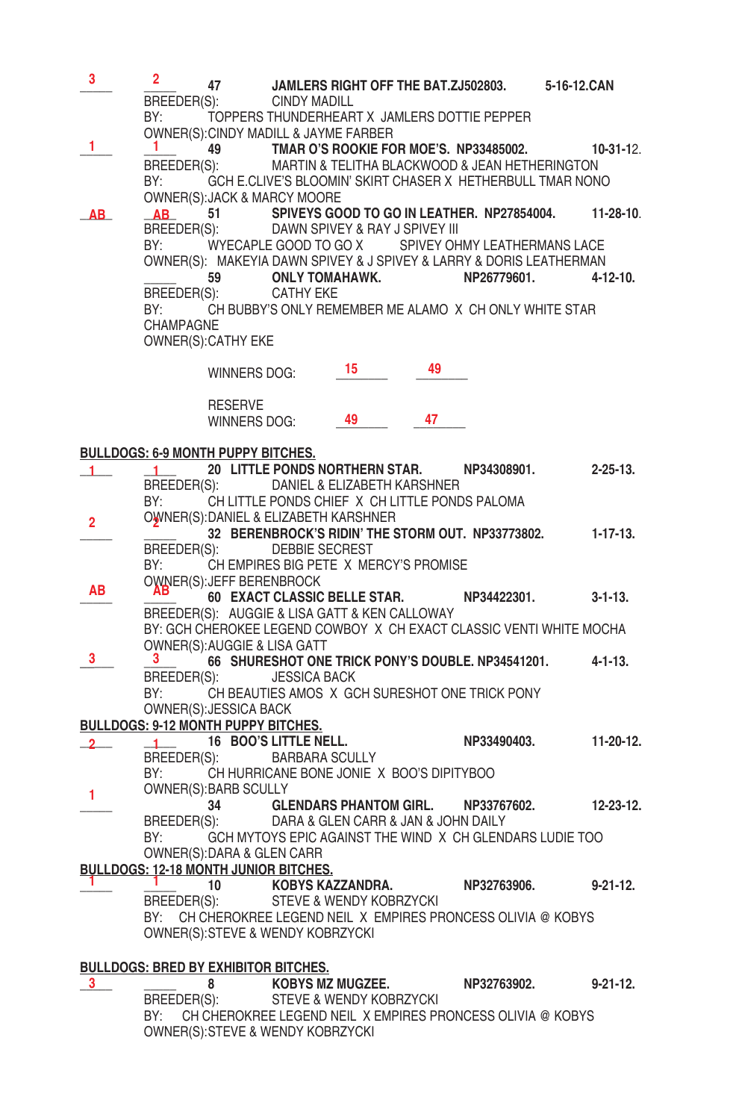| 3            | $\mathbf{2}^-$                                                                 | 47                         |                                                | JAMLERS RIGHT OFF THE BAT.ZJ502803. 5-16-12.CAN                                                                                    |    |             |  |                 |
|--------------|--------------------------------------------------------------------------------|----------------------------|------------------------------------------------|------------------------------------------------------------------------------------------------------------------------------------|----|-------------|--|-----------------|
|              |                                                                                |                            | BREEDER(S): CINDY MADILL                       |                                                                                                                                    |    |             |  |                 |
|              | BY:                                                                            |                            |                                                | TOPPERS THUNDERHEART X JAMLERS DOTTIE PEPPER                                                                                       |    |             |  |                 |
|              |                                                                                |                            |                                                | OWNER(S): CINDY MADILL & JAYME FARBER                                                                                              |    |             |  |                 |
| 1            |                                                                                |                            |                                                | $\frac{1}{100}$ (49 TMAR O'S ROOKIE FOR MOE'S. NP33485002. 10-31-12.<br>BREEDER(S): MARTIN & TELITHA BLACKWOOD & JEAN HETHERINGTON |    |             |  |                 |
|              |                                                                                |                            |                                                |                                                                                                                                    |    |             |  |                 |
|              |                                                                                |                            | OWNER(S): JACK & MARCY MOORE                   | BY: GCH E.CLIVE'S BLOOMIN' SKIRT CHASER X HETHERBULL TMAR NONO                                                                     |    |             |  |                 |
| AB_          |                                                                                |                            |                                                | AB 51 SPIVEYS GOOD TO GO IN LEATHER. NP27854004. 11-28-10.                                                                         |    |             |  |                 |
|              |                                                                                |                            |                                                | BREEDER(S): DAWN SPIVEY & RAY J SPIVEY III                                                                                         |    |             |  |                 |
|              |                                                                                |                            |                                                | BY: WYECAPLE GOOD TO GO X SPIVEY OHMY LEATHERMANS LACE                                                                             |    |             |  |                 |
|              |                                                                                |                            |                                                | OWNER(S): MAKEYIA DAWN SPIVEY & J SPIVEY & LARRY & DORIS LEATHERMAN                                                                |    |             |  |                 |
|              |                                                                                |                            |                                                | 59 ONLY TOMAHAWK.                                                                                                                  |    | NP26779601. |  | $4 - 12 - 10$ . |
|              |                                                                                |                            | BREEDER(S): CATHY EKE                          |                                                                                                                                    |    |             |  |                 |
|              |                                                                                |                            |                                                | BY: CH BUBBY'S ONLY REMEMBER ME ALAMO X CH ONLY WHITE STAR                                                                         |    |             |  |                 |
|              | <b>CHAMPAGNE</b>                                                               | OWNER(S): CATHY EKE        |                                                |                                                                                                                                    |    |             |  |                 |
|              |                                                                                |                            |                                                |                                                                                                                                    |    |             |  |                 |
|              |                                                                                | WINNERS DOG:               |                                                | - 15                                                                                                                               | 49 |             |  |                 |
|              |                                                                                |                            |                                                |                                                                                                                                    |    |             |  |                 |
|              |                                                                                | <b>RESERVE</b>             |                                                |                                                                                                                                    |    |             |  |                 |
|              |                                                                                | WINNERS DOG:               |                                                | 49                                                                                                                                 | 47 |             |  |                 |
|              |                                                                                |                            |                                                |                                                                                                                                    |    |             |  |                 |
|              | <u>BULLDOGS: 6-9 MONTH PUPPY BITCHES.</u>                                      |                            |                                                |                                                                                                                                    |    |             |  |                 |
| 1.           |                                                                                |                            |                                                | 1 20 LITTLE PONDS NORTHERN STAR. NP34308901.                                                                                       |    |             |  | $2 - 25 - 13$   |
|              |                                                                                |                            |                                                | BREEDER(S): DANIEL & ELIZABETH KARSHNER<br>BY: CH LITTLE PONDS CHIEF X CH LITTLE PONDS PALOMA                                      |    |             |  |                 |
|              |                                                                                |                            |                                                | OWNER(S): DANIEL & ELIZABETH KARSHNER                                                                                              |    |             |  |                 |
| $\mathbf{2}$ |                                                                                |                            |                                                | 32 BERENBROCK'S RIDIN' THE STORM OUT. NP33773802. 1-17-13.                                                                         |    |             |  |                 |
|              |                                                                                |                            | BREEDER(S): DEBBIE SECREST                     |                                                                                                                                    |    |             |  |                 |
|              |                                                                                |                            |                                                | BY: CH EMPIRES BIG PETE X MERCY'S PROMISE                                                                                          |    |             |  |                 |
| AВ           |                                                                                | OWNER(S): JEFF BERENBROCK  |                                                |                                                                                                                                    |    |             |  |                 |
|              |                                                                                |                            |                                                | 60 EXACT CLASSIC BELLE STAR. NP34422301.                                                                                           |    |             |  | 3-1-13.         |
|              |                                                                                |                            |                                                | BREEDER(S): AUGGIE & LISA GATT & KEN CALLOWAY                                                                                      |    |             |  |                 |
|              |                                                                                |                            | OWNER(S): AUGGIE & LISA GATT                   | BY: GCH CHEROKEE LEGEND COWBOY X CH EXACT CLASSIC VENTI WHITE MOCHA                                                                |    |             |  |                 |
| 3            |                                                                                |                            |                                                | 66 SHURESHOT ONE TRICK PONY'S DOUBLE. NP34541201. 4-1-13.                                                                          |    |             |  |                 |
|              |                                                                                |                            |                                                |                                                                                                                                    |    |             |  |                 |
|              | BREEDER(S): JESSICA BACK<br>BY: CH BEAUTIES AMOS X GCH SURESHOT ONE TRICK PONY |                            |                                                |                                                                                                                                    |    |             |  |                 |
|              |                                                                                | OWNER(S): JESSICA BACK     |                                                |                                                                                                                                    |    |             |  |                 |
|              | <b>BULLDOGS: 9-12 MONTH PUPPY BITCHES.</b>                                     |                            |                                                |                                                                                                                                    |    |             |  |                 |
| $^{2-}$      |                                                                                |                            | $\underbrace{1}{\text{16}}$ BOO'S LITTLE NELL. |                                                                                                                                    |    | NP33490403. |  | $11-20-12.$     |
|              |                                                                                |                            | BREEDER(S): BARBARA SCULLY                     |                                                                                                                                    |    |             |  |                 |
|              |                                                                                |                            |                                                | BY: CH HURRICANE BONE JONIE X BOO'S DIPITYBOO                                                                                      |    |             |  |                 |
| 1            |                                                                                | OWNER(S): BARB SCULLY      |                                                |                                                                                                                                    |    |             |  | 12-23-12.       |
|              |                                                                                |                            |                                                | 34 GLENDARS PHANTOM GIRL. NP33767602.<br>BREEDER(S): DARA & GLEN CARR & JAN & JOHN DAILY                                           |    |             |  |                 |
|              |                                                                                |                            |                                                | BY: GCH MYTOYS EPIC AGAINST THE WIND X CH GLENDARS LUDIE TOO                                                                       |    |             |  |                 |
|              |                                                                                | OWNER(S): DARA & GLEN CARR |                                                |                                                                                                                                    |    |             |  |                 |
|              | <b>BULLDOGS: 12-18 MONTH JUNIOR BITCHES.</b><br>10 KORVS KA                    |                            |                                                |                                                                                                                                    |    |             |  |                 |
|              |                                                                                | 10                         |                                                | KOBYS KAZZANDRA.                                                                                                                   |    | NP32763906. |  | $9 - 21 - 12$ . |
|              | BREEDER(S):                                                                    |                            |                                                | STEVE & WENDY KOBRZYCKI                                                                                                            |    |             |  |                 |
|              | BY:                                                                            |                            |                                                | CH CHEROKREE LEGEND NEIL X EMPIRES PRONCESS OLIVIA @ KOBYS                                                                         |    |             |  |                 |
|              |                                                                                |                            | OWNER(S):STEVE & WENDY KOBRZYCKI               |                                                                                                                                    |    |             |  |                 |
|              |                                                                                |                            |                                                |                                                                                                                                    |    |             |  |                 |
| 3.           | <b>BULLDOGS: BRED BY EXHIBITOR BITCHES.</b>                                    | 8                          |                                                | <b>KOBYS MZ MUGZEE.</b>                                                                                                            |    | NP32763902. |  | $9 - 21 - 12$ . |
|              | BREEDER(S):                                                                    |                            |                                                | STEVE & WENDY KOBRZYCKI                                                                                                            |    |             |  |                 |
|              | BY:                                                                            |                            |                                                | CH CHEROKREE LEGEND NEIL X EMPIRES PRONCESS OLIVIA @ KOBYS                                                                         |    |             |  |                 |

 OWNER(S): STEVE & WENDY KOBRZYCKI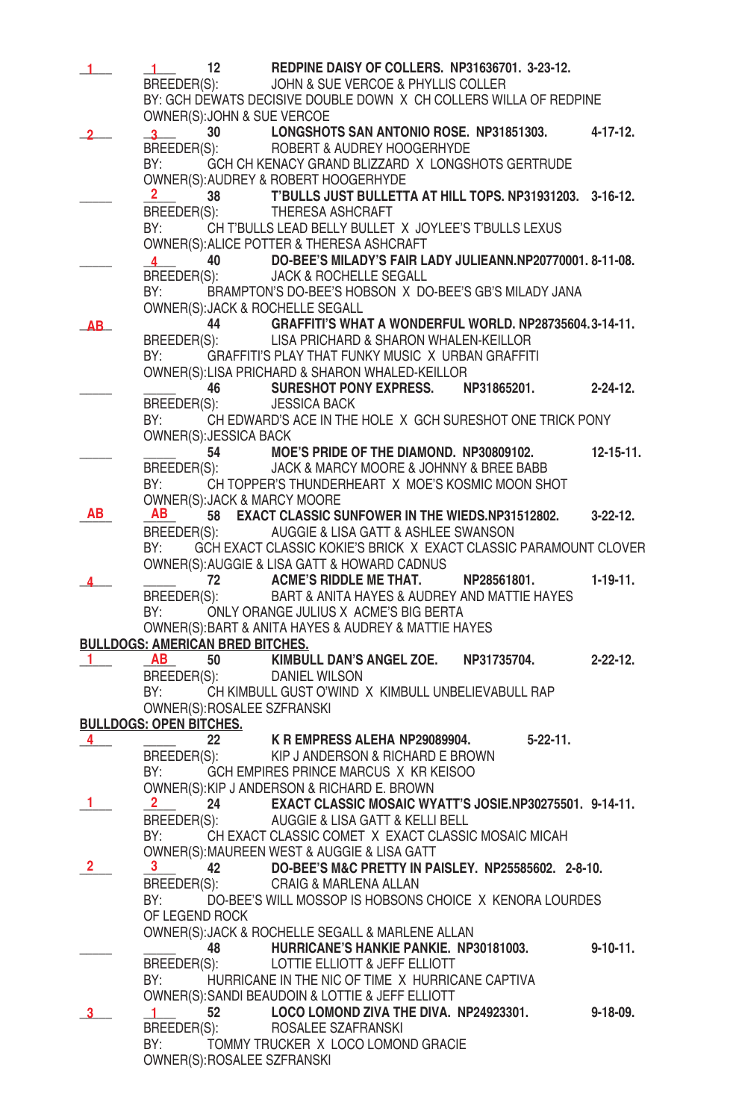| 1              | 12                                                                                                             | REDPINE DAISY OF COLLERS. NP31636701. 3-23-12.                                                            |                 |
|----------------|----------------------------------------------------------------------------------------------------------------|-----------------------------------------------------------------------------------------------------------|-----------------|
|                |                                                                                                                | BREEDER(S): JOHN & SUE VERCOE & PHYLLIS COLLER                                                            |                 |
|                |                                                                                                                | BY: GCH DEWATS DECISIVE DOUBLE DOWN X CH COLLERS WILLA OF REDPINE                                         |                 |
|                | OWNER(S): JOHN & SUE VERCOE<br>$\mathbf{3}$                                                                    | 30 LONGSHOTS SAN ANTONIO ROSE. NP31851303.                                                                | 4-17-12.        |
|                |                                                                                                                | BREEDER(S): ROBERT & AUDREY HOOGERHYDE                                                                    |                 |
|                | BY: and the state of the state of the state of the state of the state of the state of the state of the state o | GCH CH KENACY GRAND BLIZZARD X LONGSHOTS GERTRUDE                                                         |                 |
|                |                                                                                                                | OWNER(S): AUDREY & ROBERT HOOGERHYDE                                                                      |                 |
|                |                                                                                                                | 38 T'BULLS JUST BULLETTA AT HILL TOPS. NP31931203. 3-16-12.<br>BREEDER(S): THERESA ASHCRAFT               |                 |
|                | BY:                                                                                                            | CH T'BULLS LEAD BELLY BULLET X JOYLEE'S T'BULLS LEXUS                                                     |                 |
|                |                                                                                                                | OWNER(S): ALICE POTTER & THERESA ASHCRAFT                                                                 |                 |
|                |                                                                                                                | 40 DO-BEE'S MILADY'S FAIR LADY JULIEANN.NP20770001.8-11-08.                                               |                 |
|                |                                                                                                                | BREEDER(S): JACK & ROCHELLE SEGALL                                                                        |                 |
|                |                                                                                                                | BY: BRAMPTON'S DO-BEE'S HOBSON X DO-BEE'S GB'S MILADY JANA                                                |                 |
|                | OWNER(S): JACK & ROCHELLE SEGALL                                                                               | 44 GRAFFITI'S WHAT A WONDERFUL WORLD. NP28735604.3-14-11.                                                 |                 |
| AB.            |                                                                                                                | BREEDER(S): LISA PRICHARD & SHARON WHALEN-KEILLOR                                                         |                 |
|                | BY:                                                                                                            | GRAFFITI'S PLAY THAT FUNKY MUSIC X URBAN GRAFFITI                                                         |                 |
|                |                                                                                                                | OWNER(S):LISA PRICHARD & SHARON WHALED-KEILLOR                                                            |                 |
|                |                                                                                                                | 46 SURESHOT PONY EXPRESS. NP31865201.                                                                     | 2-24-12.        |
|                | BREEDER(S): JESSICA BACK<br>BY:                                                                                | CH EDWARD'S ACE IN THE HOLE X GCH SURESHOT ONE TRICK PONY                                                 |                 |
|                | OWNER(S): JESSICA BACK                                                                                         |                                                                                                           |                 |
|                |                                                                                                                | 54 MOE'S PRIDE OF THE DIAMOND. NP30809102.                                                                | $12 - 15 - 11.$ |
|                |                                                                                                                | BREEDER(S): JACK & MARCY MOORE & JOHNNY & BREE BABB                                                       |                 |
|                |                                                                                                                | BY: CH TOPPER'S THUNDERHEART X MOE'S KOSMIC MOON SHOT                                                     |                 |
| AВ             | OWNER(S): JACK & MARCY MOORE<br>AB .                                                                           | 58 EXACT CLASSIC SUNFOWER IN THE WIEDS.NP31512802.                                                        | $3 - 22 - 12$ . |
|                |                                                                                                                | BREEDER(S): AUGGIE & LISA GATT & ASHLEE SWANSON                                                           |                 |
|                | BY:                                                                                                            | GCH EXACT CLASSIC KOKIE'S BRICK X EXACT CLASSIC PARAMOUNT CLOVER                                          |                 |
|                |                                                                                                                | OWNER(S): AUGGIE & LISA GATT & HOWARD CADNUS                                                              |                 |
|                |                                                                                                                | 72 ACME'S RIDDLE ME THAT. NP28561801.                                                                     | $1-19-11.$      |
|                | BY: and the state of the state of the state of the state of the state of the state of the state of the state o | BREEDER(S): BART & ANITA HAYES & AUDREY AND MATTIE HAYES                                                  |                 |
|                |                                                                                                                | ONLY ORANGE JULIUS X ACME'S BIG BERTA<br>OWNER(S): BART & ANITA HAYES & AUDREY & MATTIE HAYES             |                 |
|                | <b>BULLDOGS: AMERICAN BRED BITCHES.</b>                                                                        |                                                                                                           |                 |
| 1.             | <b>AB</b>                                                                                                      | 50 KIMBULL DAN'S ANGEL ZOE. NP31735704.                                                                   | $2 - 22 - 12$ . |
|                | BREEDER(S): DANIEL WILSON                                                                                      |                                                                                                           |                 |
|                | BY:<br>OWNER(S): ROSALEE SZFRANSKI                                                                             | CH KIMBULL GUST O'WIND X KIMBULL UNBELIEVABULL RAP                                                        |                 |
|                | <b>BULLDOGS: OPEN BITCHES.</b>                                                                                 |                                                                                                           |                 |
| 4              | 22                                                                                                             | K R EMPRESS ALEHA NP29089904.<br>$5 - 22 - 11$ .                                                          |                 |
|                | BREEDER(S):                                                                                                    | KIP J ANDERSON & RICHARD E BROWN                                                                          |                 |
|                | BY:                                                                                                            | GCH EMPIRES PRINCE MARCUS X KR KEISOO                                                                     |                 |
| 1              | 2.                                                                                                             | OWNER(S): KIP J ANDERSON & RICHARD E. BROWN<br>24 EXACT CLASSIC MOSAIC WYATT'S JOSIE.NP30275501. 9-14-11. |                 |
|                |                                                                                                                | BREEDER(S): AUGGIE & LISA GATT & KELLI BELL                                                               |                 |
|                | BY:                                                                                                            | CH EXACT CLASSIC COMET X EXACT CLASSIC MOSAIC MICAH                                                       |                 |
|                |                                                                                                                | OWNER(S):MAUREEN WEST & AUGGIE & LISA GATT                                                                |                 |
| $\mathbf{2}^-$ | 3 <sub>1</sub><br>42                                                                                           | DO-BEE'S M&C PRETTY IN PAISLEY. NP25585602. 2-8-10.                                                       |                 |
|                | BREEDER(S):<br>BY:                                                                                             | CRAIG & MARLENA ALLAN<br>DO-BEE'S WILL MOSSOP IS HOBSONS CHOICE X KENORA LOURDES                          |                 |
|                | OF LEGEND ROCK                                                                                                 |                                                                                                           |                 |
|                |                                                                                                                | OWNER(S): JACK & ROCHELLE SEGALL & MARLENE ALLAN                                                          |                 |
|                | 48                                                                                                             | HURRICANE'S HANKIE PANKIE. NP30181003.                                                                    | $9 - 10 - 11$ . |
|                | BREEDER(S):                                                                                                    | LOTTIE ELLIOTT & JEFF ELLIOTT                                                                             |                 |
|                | BY:                                                                                                            | HURRICANE IN THE NIC OF TIME X HURRICANE CAPTIVA                                                          |                 |
|                | 52<br>$\mathbf{1}$                                                                                             | OWNER(S): SANDI BEAUDOIN & LOTTIE & JEFF ELLIOTT<br>LOCO LOMOND ZIVA THE DIVA. NP24923301.                | $9 - 18 - 09.$  |
|                | BREEDER(S):                                                                                                    | ROSALEE SZAFRANSKI                                                                                        |                 |
|                | BY:                                                                                                            | TOMMY TRUCKER X LOCO LOMOND GRACIE                                                                        |                 |
|                | OWNER(S): ROSALEE SZFRANSKI                                                                                    |                                                                                                           |                 |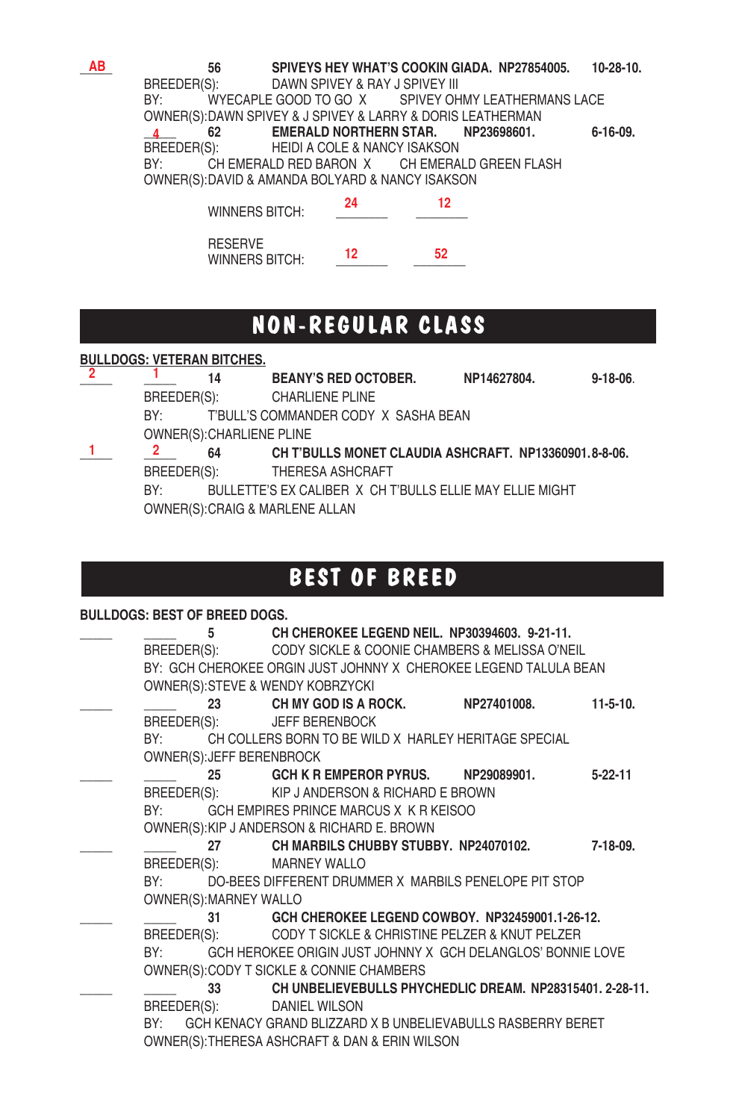**56 SPIVEYS HEY WHAT'S COOKIN GIADA. NP27854005. 10-28-10. BREEDER(S): DAWN SPIVEY & RAY J SPIVEY III** DAWN SPIVEY & RAY J SPIVEY III BY: WYECAPLE GOOD TO GO X SPIVEY OHMY LEATHERMANS LACE OWNER(S): DAWN SPIVEY & J SPIVEY & LARRY & DORIS LEATHERMAN **\_\_\_\_\_ 62 EMERALD NORTHERN STAR. NP23698601. 6-16-09.** BREEDER(S): HEIDI A COLE & NANCY ISAKSON<br>BY: CH EMERALD RED BARON X CH EMERAL CH EMERALD RED BARON X CH EMERALD GREEN FLASH OWNER(S): DAVID & AMANDA BOLYARD & NANCY ISAKSON BREEDER(S): **12** 12

| <b>WINNERS BITCH:</b>                   |    |    |
|-----------------------------------------|----|----|
| <b>RESERVE</b><br><b>WINNERS BITCH:</b> | 12 | 52 |

## **NON-REGULAR CLASS**

### **BULLDOGS: VETERAN BITCHES.**

**\_\_\_\_\_ \_\_\_\_\_ 14 BEANY'S RED OCTOBER. NP14627804. 9-18-06**. **2 1** BREEDER(S): CHARLIENE PLINE BY: T'BULL'S COMMANDER CODY X SASHA BEAN OWNER(S): CHARLIENE PLINE **\_\_\_\_\_ \_\_\_\_\_ 64 CH T'BULLS MONET CLAUDIA ASHCRAFT. NP13360901.8-8-06. 1 2**BREEDER(S): THERESA ASHCRAFT BULLETTE'S EX CALIBER X CH T'BULLS ELLIE MAY ELLIE MIGHT OWNER(S): CRAIG & MARLENE ALLAN

### **BEST OF BREED**

#### **BULLDOGS: BEST OF BREED DOGS.**

**\_\_\_\_\_ \_\_\_\_\_ 5 CH CHEROKEE LEGEND NEIL. NP30394603. 9-21-11.** BREEDER(S): CODY SICKLE & COONIE CHAMBERS & MELISSA O'NEIL BY: GCH CHEROKEE ORGIN JUST JOHNNY X CHEROKEE LEGEND TALULA BEAN OWNER(S): STEVE & WENDY KOBRZYCKI **\_\_\_\_\_ \_\_\_\_\_ 23 CH MY GOD IS A ROCK. NP27401008. 11-5-10.** BREEDER(S): JEFF BERENBOCK BY: CH COLLERS BORN TO BE WILD X HARLEY HERITAGE SPECIAL OWNER(S): JEFF BERENBROCK **\_\_\_\_\_ \_\_\_\_\_ 25 GCH K R EMPEROR PYRUS. NP29089901. 5-22-11** BREEDER(S): KIP J ANDERSON & RICHARD E BROWN BY: GCH EMPIRES PRINCE MARCUS X K R KEISOO OWNER(S): KIP J ANDERSON & RICHARD E. BROWN **\_\_\_\_\_ \_\_\_\_\_ 27 CH MARBILS CHUBBY STUBBY. NP24070102. 7-18-09.** BREEDER(S): MARNEY WALLO BY: DO-BEES DIFFERENT DRUMMER X MARBILS PENELOPE PIT STOP OWNER(S): MARNEY WALLO **\_\_\_\_\_ \_\_\_\_\_ 31 GCH CHEROKEE LEGEND COWBOY. NP32459001.1-26-12.** CODY T SICKLE & CHRISTINE PELZER & KNUT PELZER BY: GCH HEROKEE ORIGIN JUST JOHNNY X GCH DELANGLOS' BONNIE LOVE OWNER(S): CODY T SICKLE & CONNIE CHAMBERS **\_\_\_\_\_ \_\_\_\_\_ 33 CH UNBELIEVEBULLS PHYCHEDLIC DREAM. NP28315401. 2-28-11.** BREEDER(S): DANIEL WILSON BY: GCH KENACY GRAND BLIZZARD X B UNBELIEVABULLS RASBERRY BERET OWNER(S): THERESA ASHCRAFT & DAN & ERIN WILSON

**AB**